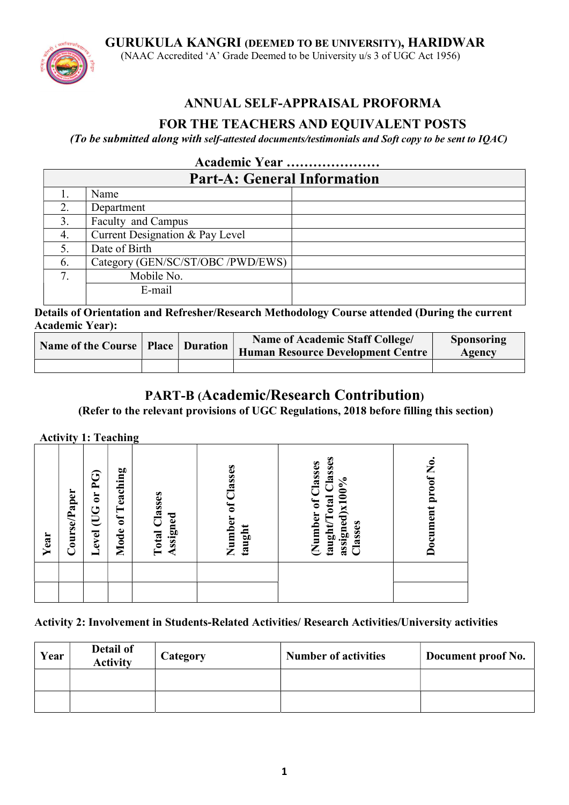GURUKULA KANGRI (DEEMED TO BE UNIVERSITY), HARIDWAR



(NAAC Accredited 'A' Grade Deemed to be University u/s 3 of UGC Act 1956)

# ANNUAL SELF-APPRAISAL PROFORMA

# FOR THE TEACHERS AND EQUIVALENT POSTS

(To be submitted along with self-attested documents/testimonials and Soft copy to be sent to IQAC)

## Academic Year ………………… Part-A: General Information 1. Name 2. Department 3. Faculty and Campus 4. Current Designation & Pay Level 5. Date of Birth 6. Category (GEN/SC/ST/OBC /PWD/EWS) 7. Mobile No. E-mail

Details of Orientation and Refresher/Research Methodology Course attended (During the current Academic Year):

| Name of the Course   Place   Duration |  | <b>Name of Academic Staff College/</b><br>Human Resource Development Centre | <b>Sponsoring</b><br>Agency |
|---------------------------------------|--|-----------------------------------------------------------------------------|-----------------------------|
|                                       |  |                                                                             |                             |

# PART-B (Academic/Research Contribution)

(Refer to the relevant provisions of UGC Regulations, 2018 before filling this section)

Activity 1: Teaching

| Year | Course/Paper | <u>၉၅</u><br>$\mathbf{C}$<br>Level (UG | of Teaching<br>Mode | <b>Total Classes</b><br>Assigned | Number of Classes<br>taught | taught/Total Classes<br>Number of Classes<br>assigned)x100%<br>Classes | proof No.<br>Document |  |
|------|--------------|----------------------------------------|---------------------|----------------------------------|-----------------------------|------------------------------------------------------------------------|-----------------------|--|
|      |              |                                        |                     |                                  |                             |                                                                        |                       |  |
|      |              |                                        |                     |                                  |                             |                                                                        |                       |  |

### Activity 2: Involvement in Students-Related Activities/ Research Activities/University activities

| Year | Detail of<br><b>Activity</b> | <b>Category</b> | <b>Number of activities</b> | Document proof No. |
|------|------------------------------|-----------------|-----------------------------|--------------------|
|      |                              |                 |                             |                    |
|      |                              |                 |                             |                    |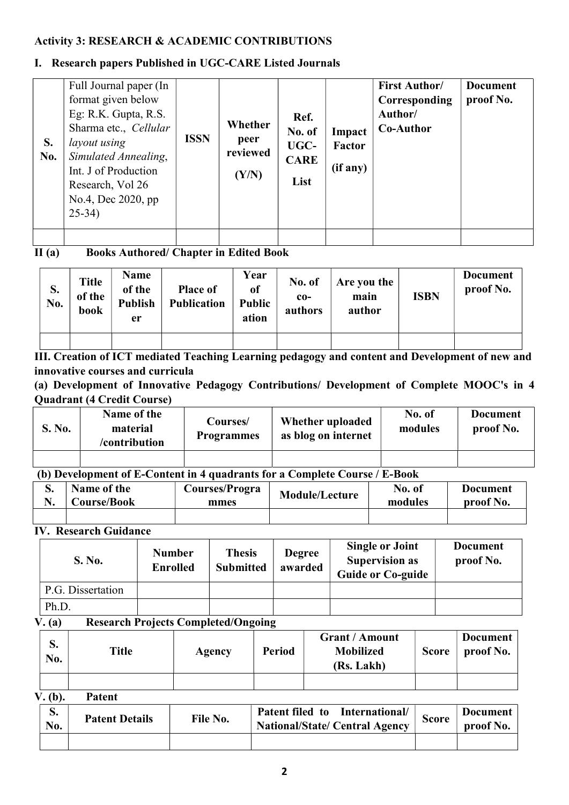### Activity 3: RESEARCH & ACADEMIC CONTRIBUTIONS

### I. Research papers Published in UGC-CARE Listed Journals

| S.<br>No. | Full Journal paper (In<br>format given below<br>Eg: R.K. Gupta, R.S.<br>Sharma etc., Cellular<br>layout using<br>Simulated Annealing,<br>Int. J of Production<br>Research, Vol 26<br>No.4, Dec 2020, pp<br>$25-34)$ | <b>ISSN</b> | Whether<br>peer<br>reviewed<br>(Y/N) | Ref.<br>No. of<br>UGC-<br><b>CARE</b><br>List | Impact<br>Factor<br>(if any) | <b>First Author/</b><br>Corresponding<br>Author/<br><b>Co-Author</b> | <b>Document</b><br>proof No. |
|-----------|---------------------------------------------------------------------------------------------------------------------------------------------------------------------------------------------------------------------|-------------|--------------------------------------|-----------------------------------------------|------------------------------|----------------------------------------------------------------------|------------------------------|
|           |                                                                                                                                                                                                                     |             |                                      |                                               |                              |                                                                      |                              |

II (a) Books Authored/ Chapter in Edited Book

| S.<br>No. | <b>Title</b><br>of the<br>book | <b>Name</b><br>of the<br><b>Publish</b><br>er | <b>Place of</b><br><b>Publication</b> | Year<br>of<br><b>Public</b><br>ation | No. of<br>$co-$<br>authors | Are you the<br>main<br>author | <b>ISBN</b> | <b>Document</b><br>proof No. |
|-----------|--------------------------------|-----------------------------------------------|---------------------------------------|--------------------------------------|----------------------------|-------------------------------|-------------|------------------------------|
|           |                                |                                               |                                       |                                      |                            |                               |             |                              |

III. Creation of ICT mediated Teaching Learning pedagogy and content and Development of new and innovative courses and curricula

(a) Development of Innovative Pedagogy Contributions/ Development of Complete MOOC's in 4 Quadrant (4 Credit Course)

| S. No. | Name of the<br>material<br>/contribution | Courses/<br><b>Programmes</b> | Whether uploaded<br>as blog on internet | No. of<br>modules | <b>Document</b><br>proof No. |
|--------|------------------------------------------|-------------------------------|-----------------------------------------|-------------------|------------------------------|
|        |                                          |                               |                                         |                   |                              |

## (b) Development of E-Content in 4 quadrants for a Complete Course / E-Book

| ◡ | Name of the<br>Course/Book | Courses/Progra<br>mmes | <b>Module/Lecture</b> | No. of<br>modules | <b>Document</b><br>proof No. |
|---|----------------------------|------------------------|-----------------------|-------------------|------------------------------|
|   |                            |                        |                       |                   |                              |

IV. Research Guidance

| S. No.            | <b>Number</b><br><b>Enrolled</b> | <b>Thesis</b><br><b>Submitted</b> | <b>Degree</b><br>awarded | <b>Single or Joint</b><br><b>Supervision as</b><br><b>Guide or Co-guide</b> | <b>Document</b><br>proof No. |
|-------------------|----------------------------------|-----------------------------------|--------------------------|-----------------------------------------------------------------------------|------------------------------|
| P.G. Dissertation |                                  |                                   |                          |                                                                             |                              |
| Ph.D.             |                                  |                                   |                          |                                                                             |                              |

### V. (a) Research Projects Completed/Ongoing

| D.<br>No. | Title | Agency | <b>Period</b> | <b>Grant / Amount</b><br><b>Mobilized</b><br>(Rs. Lakh) | <b>Score</b> | <b>Document</b><br>proof No. |
|-----------|-------|--------|---------------|---------------------------------------------------------|--------------|------------------------------|
|           |       |        |               |                                                         |              |                              |

V. (b). Patent

| $\sim$<br>p.<br>No. | <b>Patent Details</b> | File No. | Patent filed to International/<br><b>National/State/ Central Agency</b> | <b>Score</b> | <b>Document</b><br>proof No. |
|---------------------|-----------------------|----------|-------------------------------------------------------------------------|--------------|------------------------------|
|                     |                       |          |                                                                         |              |                              |